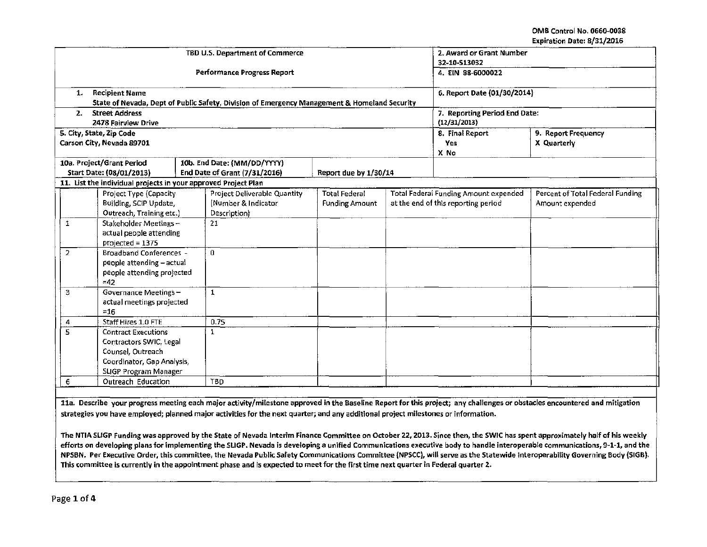OMS Control No. 066D-0038 Expiration Date: 8/31/2016

| <b>Performance Progress Report</b><br>4. EIN 88-6000022<br><b>Recipient Name</b><br>6. Report Date (01/30/2014)<br>1.<br>State of Nevada, Dept of Public Safety, Division of Emergency Management & Homeland Security<br><b>Street Address</b><br>7. Reporting Period End Date:<br>2.<br>(12/31/2013)<br>2478 Fairview Drive<br>5. City, State, Zip Code<br>8. Final Report<br>9. Report Frequency<br>Carson City, Nevada 89701<br>X Quarterly<br>Yes.<br>X No<br>10a. Project/Grant Period<br>10b. End Date: (MM/DD/YYYY)<br>End Date of Grant (7/31/2016)<br>Start Date: (08/01/2013)<br>Report due by 1/30/14<br>11. List the individual projects in your approved Project Plan<br>Percent of Total Federal Funding<br>Project Deliverable Quantity<br><b>Total Federal Funding Amount expended</b><br>Project Type (Capacity<br><b>Total Federal</b><br>Building, SCIP Update,<br>(Number & Indicator<br>at the end of this reporting period<br><b>Funding Amount</b><br>Amount expended<br>Outreach, Training etc.)<br>Description)<br>Stakeholder Meetings -<br>21<br>1<br>actual people attending<br>projected = 1375<br><b>Broadband Conferences -</b><br>$\overline{2}$<br>$\bf{0}$<br>people attending - actual<br>people attending projected<br>$=42$<br>3<br>Governance Meetings-<br>$\mathbf{1}$<br>actual meetings projected<br>$=16$ |                            |                     |  | TBD U.S. Department of Commerce | 2. Award or Grant Number<br>32-10-S13032 |  |  |  |  |  |
|-----------------------------------------------------------------------------------------------------------------------------------------------------------------------------------------------------------------------------------------------------------------------------------------------------------------------------------------------------------------------------------------------------------------------------------------------------------------------------------------------------------------------------------------------------------------------------------------------------------------------------------------------------------------------------------------------------------------------------------------------------------------------------------------------------------------------------------------------------------------------------------------------------------------------------------------------------------------------------------------------------------------------------------------------------------------------------------------------------------------------------------------------------------------------------------------------------------------------------------------------------------------------------------------------------------------------------------------------------|----------------------------|---------------------|--|---------------------------------|------------------------------------------|--|--|--|--|--|
|                                                                                                                                                                                                                                                                                                                                                                                                                                                                                                                                                                                                                                                                                                                                                                                                                                                                                                                                                                                                                                                                                                                                                                                                                                                                                                                                                     |                            |                     |  |                                 |                                          |  |  |  |  |  |
|                                                                                                                                                                                                                                                                                                                                                                                                                                                                                                                                                                                                                                                                                                                                                                                                                                                                                                                                                                                                                                                                                                                                                                                                                                                                                                                                                     |                            |                     |  |                                 |                                          |  |  |  |  |  |
|                                                                                                                                                                                                                                                                                                                                                                                                                                                                                                                                                                                                                                                                                                                                                                                                                                                                                                                                                                                                                                                                                                                                                                                                                                                                                                                                                     |                            |                     |  |                                 |                                          |  |  |  |  |  |
|                                                                                                                                                                                                                                                                                                                                                                                                                                                                                                                                                                                                                                                                                                                                                                                                                                                                                                                                                                                                                                                                                                                                                                                                                                                                                                                                                     |                            |                     |  |                                 |                                          |  |  |  |  |  |
|                                                                                                                                                                                                                                                                                                                                                                                                                                                                                                                                                                                                                                                                                                                                                                                                                                                                                                                                                                                                                                                                                                                                                                                                                                                                                                                                                     |                            |                     |  |                                 |                                          |  |  |  |  |  |
|                                                                                                                                                                                                                                                                                                                                                                                                                                                                                                                                                                                                                                                                                                                                                                                                                                                                                                                                                                                                                                                                                                                                                                                                                                                                                                                                                     |                            |                     |  |                                 |                                          |  |  |  |  |  |
|                                                                                                                                                                                                                                                                                                                                                                                                                                                                                                                                                                                                                                                                                                                                                                                                                                                                                                                                                                                                                                                                                                                                                                                                                                                                                                                                                     |                            |                     |  |                                 |                                          |  |  |  |  |  |
|                                                                                                                                                                                                                                                                                                                                                                                                                                                                                                                                                                                                                                                                                                                                                                                                                                                                                                                                                                                                                                                                                                                                                                                                                                                                                                                                                     |                            |                     |  |                                 |                                          |  |  |  |  |  |
|                                                                                                                                                                                                                                                                                                                                                                                                                                                                                                                                                                                                                                                                                                                                                                                                                                                                                                                                                                                                                                                                                                                                                                                                                                                                                                                                                     |                            |                     |  |                                 |                                          |  |  |  |  |  |
|                                                                                                                                                                                                                                                                                                                                                                                                                                                                                                                                                                                                                                                                                                                                                                                                                                                                                                                                                                                                                                                                                                                                                                                                                                                                                                                                                     |                            |                     |  |                                 |                                          |  |  |  |  |  |
|                                                                                                                                                                                                                                                                                                                                                                                                                                                                                                                                                                                                                                                                                                                                                                                                                                                                                                                                                                                                                                                                                                                                                                                                                                                                                                                                                     |                            |                     |  |                                 |                                          |  |  |  |  |  |
|                                                                                                                                                                                                                                                                                                                                                                                                                                                                                                                                                                                                                                                                                                                                                                                                                                                                                                                                                                                                                                                                                                                                                                                                                                                                                                                                                     |                            |                     |  |                                 |                                          |  |  |  |  |  |
|                                                                                                                                                                                                                                                                                                                                                                                                                                                                                                                                                                                                                                                                                                                                                                                                                                                                                                                                                                                                                                                                                                                                                                                                                                                                                                                                                     |                            |                     |  |                                 |                                          |  |  |  |  |  |
|                                                                                                                                                                                                                                                                                                                                                                                                                                                                                                                                                                                                                                                                                                                                                                                                                                                                                                                                                                                                                                                                                                                                                                                                                                                                                                                                                     |                            |                     |  |                                 |                                          |  |  |  |  |  |
|                                                                                                                                                                                                                                                                                                                                                                                                                                                                                                                                                                                                                                                                                                                                                                                                                                                                                                                                                                                                                                                                                                                                                                                                                                                                                                                                                     |                            |                     |  |                                 |                                          |  |  |  |  |  |
|                                                                                                                                                                                                                                                                                                                                                                                                                                                                                                                                                                                                                                                                                                                                                                                                                                                                                                                                                                                                                                                                                                                                                                                                                                                                                                                                                     |                            |                     |  |                                 |                                          |  |  |  |  |  |
|                                                                                                                                                                                                                                                                                                                                                                                                                                                                                                                                                                                                                                                                                                                                                                                                                                                                                                                                                                                                                                                                                                                                                                                                                                                                                                                                                     |                            |                     |  |                                 |                                          |  |  |  |  |  |
|                                                                                                                                                                                                                                                                                                                                                                                                                                                                                                                                                                                                                                                                                                                                                                                                                                                                                                                                                                                                                                                                                                                                                                                                                                                                                                                                                     |                            |                     |  |                                 |                                          |  |  |  |  |  |
|                                                                                                                                                                                                                                                                                                                                                                                                                                                                                                                                                                                                                                                                                                                                                                                                                                                                                                                                                                                                                                                                                                                                                                                                                                                                                                                                                     |                            |                     |  |                                 |                                          |  |  |  |  |  |
|                                                                                                                                                                                                                                                                                                                                                                                                                                                                                                                                                                                                                                                                                                                                                                                                                                                                                                                                                                                                                                                                                                                                                                                                                                                                                                                                                     |                            |                     |  |                                 |                                          |  |  |  |  |  |
|                                                                                                                                                                                                                                                                                                                                                                                                                                                                                                                                                                                                                                                                                                                                                                                                                                                                                                                                                                                                                                                                                                                                                                                                                                                                                                                                                     |                            |                     |  |                                 |                                          |  |  |  |  |  |
|                                                                                                                                                                                                                                                                                                                                                                                                                                                                                                                                                                                                                                                                                                                                                                                                                                                                                                                                                                                                                                                                                                                                                                                                                                                                                                                                                     | 4                          | Staff Hires 1.0 FTE |  | 0.75                            |                                          |  |  |  |  |  |
| 5<br><b>Contract Executions</b><br>$\mathbf{1}$                                                                                                                                                                                                                                                                                                                                                                                                                                                                                                                                                                                                                                                                                                                                                                                                                                                                                                                                                                                                                                                                                                                                                                                                                                                                                                     |                            |                     |  |                                 |                                          |  |  |  |  |  |
| Contractors SWIC, Legal                                                                                                                                                                                                                                                                                                                                                                                                                                                                                                                                                                                                                                                                                                                                                                                                                                                                                                                                                                                                                                                                                                                                                                                                                                                                                                                             |                            |                     |  |                                 |                                          |  |  |  |  |  |
|                                                                                                                                                                                                                                                                                                                                                                                                                                                                                                                                                                                                                                                                                                                                                                                                                                                                                                                                                                                                                                                                                                                                                                                                                                                                                                                                                     | Counsel, Outreach          |                     |  |                                 |                                          |  |  |  |  |  |
|                                                                                                                                                                                                                                                                                                                                                                                                                                                                                                                                                                                                                                                                                                                                                                                                                                                                                                                                                                                                                                                                                                                                                                                                                                                                                                                                                     | Coordinator, Gap Analysis, |                     |  |                                 |                                          |  |  |  |  |  |
|                                                                                                                                                                                                                                                                                                                                                                                                                                                                                                                                                                                                                                                                                                                                                                                                                                                                                                                                                                                                                                                                                                                                                                                                                                                                                                                                                     | SLIGP Program Manager      |                     |  |                                 |                                          |  |  |  |  |  |
| <b>TBD</b><br>Outreach Education<br>6                                                                                                                                                                                                                                                                                                                                                                                                                                                                                                                                                                                                                                                                                                                                                                                                                                                                                                                                                                                                                                                                                                                                                                                                                                                                                                               |                            |                     |  |                                 |                                          |  |  |  |  |  |

11a. Describe your progress meeting each major activity/milestone approved in the Baseline Report for this project; any challenges or obstacles encountered and mitigation strategies you have employed; planned major activities for the next quarter; and any additional project milestones or information.

The NTIA SLIGP Funding was approved by the State of Nevada Interim Finance Committee on October 22, 2013. Since then, the SWIC has spent approximately half of his weekly efforts on developing plans for implementing the SLIGP. Nevada is developing a unified Communications executive body to handle interoperable communications, 9-1-1, and the NPSBN. Per Executive Order, this committee, the Nevada Public Safety Communications Committee jNPSCC), will serve as the Statewide lnteroperabillty Governing Body (SIGB). This committee is currently in the appointment phase and is expected to meet for the first time next quarter in Federal quarter 2.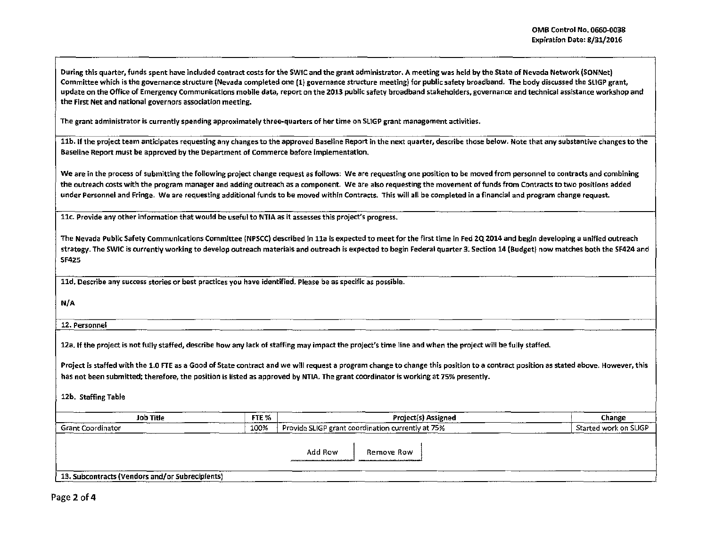During this quarter, funds spent have included contract costs for the SWIC and the grant administrator. A meeting was held by the State of Nevada Network (SONNet) Committee which is the governance structure (Nevada completed one (1) governance structure meeting) for public safety broadband. The body discussed the SLIGP grant, update on the Office of Emergency Communications mobile data, report on the 2013 public safety broadband stakeholders, governance and technical assistance workshop and the First Net and national governors association meeting.

The grant administrator is currently spending approximately three-quarters of her time on SUGP grant management activities.

11b. If the project team anticipates requesting any changes to the approved Baseline Report in the next quarter, describe those below. Note that any substantive changes to the Baseline Report must be approved by the Department of Commerce before implementation.

We are in the process of submitting the following project change request as follows: We are requesting one position to be moved from personnel to contracts and combining the outreach costs with the program manager and adding outreach as a component. We are also requesting the movement of funds from Contracts to two positions added under Personnel and Fringe. We are requesting additional funds to be moved within Contracts. This will all be completed in a financial and program change request.

11c. Provide any other information that would be useful to NTIA as it assesses this project's progress.

The Nevada Public Safety Communications Committee (NPSCC) described in lla Is expected to meet for the first time in Fed 2Q 2014 and begin developing a unified outreach strategy. The SWIC is currently working to develop outreach materials and outreach is expected to begin Federal quarter 3. Section 14 (Budget) now matches both the SF424 and SF425

lld. Describe any success stories or best practices you have identified. Please be as specific as possible.

N/A

12. Personnel

12a. If the project is not fully staffed, describe how any lack of staffing may impact the project's time line and when the project will be fully staffed.

Project is staffed with the 1.0 FTE as a Good of State contract and we will request a program change to change this position to a contract position as stated above. However, this has not been submitted; therefore, the position is listed as approved by NTIA. The grant coordinator is working at 75% presently.

12b. Staffing Table

| Job Title                                       | FTE % | Project(s) Assigned                                  | Change                |
|-------------------------------------------------|-------|------------------------------------------------------|-----------------------|
| Grant Coordinator                               | 100%  | Provide SLIGP grant coordination currently at 75%    | Started work on SLIGP |
|                                                 |       |                                                      |                       |
|                                                 |       | Add Row<br>Remove Row                                |                       |
|                                                 |       | companies a famous and the students and construction |                       |
| 13. Subcontracts (Vendors and/or Subrecipients) |       |                                                      |                       |

Page 2 of 4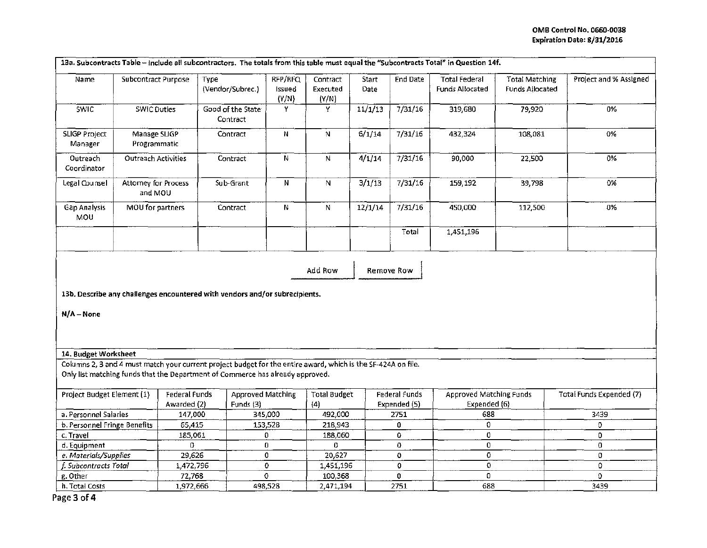| 13a. Subcontracts Table - Include all subcontractors. The totals from this table must equal the "Subcontracts Total" in Question 14f.                                                           |                                 |                                     |                                       |                            |                               |                      |                               |                                                |                                          |                                 |
|-------------------------------------------------------------------------------------------------------------------------------------------------------------------------------------------------|---------------------------------|-------------------------------------|---------------------------------------|----------------------------|-------------------------------|----------------------|-------------------------------|------------------------------------------------|------------------------------------------|---------------------------------|
| Name                                                                                                                                                                                            | <b>Subcontract Purpose</b>      | Type                                | (Vendor/Subrec.)                      | RFP/RFQ<br>Issued<br>(Y/N) | Contract<br>Executed<br>(Y/N) | <b>Start</b><br>Date | <b>End Date</b>               | <b>Total Federal</b><br>Funds Allocated        | <b>Total Matching</b><br>Funds Allocated | Project and % Assigned          |
| <b>SWIC</b>                                                                                                                                                                                     | <b>SWIC Duties</b>              |                                     | Good of the State<br>Contract         | Y                          | Y                             | 11/1/13              | 7/31/16                       | 319,680                                        | 79,920                                   | 0%                              |
| <b>SLIGP Project</b><br>Manager                                                                                                                                                                 | Manage SLIGP<br>Programmatic    |                                     | Contract                              | N                          | N                             | 6/1/14               | 7/31/16                       | 432,324                                        | 108,081                                  | 0%                              |
| Outreach<br>Coordinator                                                                                                                                                                         | <b>Outreach Activities</b>      |                                     | Contract                              | N                          | N                             | 4/1/14               | 7/31/16                       | 90,000                                         | 22,500                                   | 0%                              |
| Legal Counsel                                                                                                                                                                                   | Attorney for Process<br>and MOU |                                     | Sub-Grant                             | N                          | N                             | 3/1/13               | 7/31/16                       | 159,192                                        | 39,798                                   | 0%                              |
| Gap Analysis<br>MOU                                                                                                                                                                             | MOU for partners                |                                     | Contract                              | N                          | N                             | 12/1/14              | 7/31/16                       | 450,000                                        | 112,500                                  | 0%                              |
|                                                                                                                                                                                                 |                                 |                                     |                                       |                            |                               |                      | Total                         | 1,451,196                                      |                                          |                                 |
| Remove Row<br>Add Row<br>13b. Describe any challenges encountered with vendors and/or subrecipients.<br>$N/A - None$                                                                            |                                 |                                     |                                       |                            |                               |                      |                               |                                                |                                          |                                 |
| 14. Budget Worksheet                                                                                                                                                                            |                                 |                                     |                                       |                            |                               |                      |                               |                                                |                                          |                                 |
| Columns 2, 3 and 4 must match your current project budget for the entire award, which is the SF-424A on file.<br>Only list matching funds that the Department of Commerce has already approved. |                                 |                                     |                                       |                            |                               |                      |                               |                                                |                                          |                                 |
| Project Budget Element (1)                                                                                                                                                                      |                                 | <b>Federal Funds</b><br>Awarded (2) | <b>Approved Matching</b><br>Funds (3) |                            | Total Budget<br>(4)           |                      | Federal Funds<br>Expended (5) | <b>Approved Matching Funds</b><br>Expended (6) |                                          | <b>Total Funds Expended (7)</b> |
| a. Personnel Salaries                                                                                                                                                                           |                                 | 147,000                             |                                       | 345,000                    | 492,000                       |                      | 2751                          | 688                                            |                                          | 3439                            |
| b. Personnel Fringe Benefits                                                                                                                                                                    |                                 | 65,415                              |                                       | 153,528                    | 218,943                       |                      | 0                             | 0.                                             |                                          | O                               |
| c. Travel                                                                                                                                                                                       |                                 | 185,061                             |                                       | 0                          | 188,060                       |                      | 0                             | 0                                              |                                          | 0                               |
| d. Equipment                                                                                                                                                                                    |                                 | 0                                   |                                       | 0                          | 0                             |                      | 0                             | 0                                              |                                          | $\mathbf 0$                     |
| e. Materials/Supplies                                                                                                                                                                           |                                 | 29,626                              |                                       | 0                          | 20,627                        |                      | 0                             | 0                                              |                                          | 0                               |
| f. Subcontracts Total                                                                                                                                                                           |                                 | 1,472,796                           |                                       | 0                          | 1,451,196                     |                      | o                             | $\mathbf 0$                                    |                                          | 0<br>O.                         |
| g. Other                                                                                                                                                                                        |                                 | 72,768                              |                                       | 0                          | 100,368                       |                      | 0                             |                                                | 0                                        |                                 |
| h. Total Costs                                                                                                                                                                                  |                                 | 1,972,666                           |                                       | 498,528                    | 2,471,194                     |                      | 2751                          | 688                                            |                                          | 3439                            |

Page 3 of 4